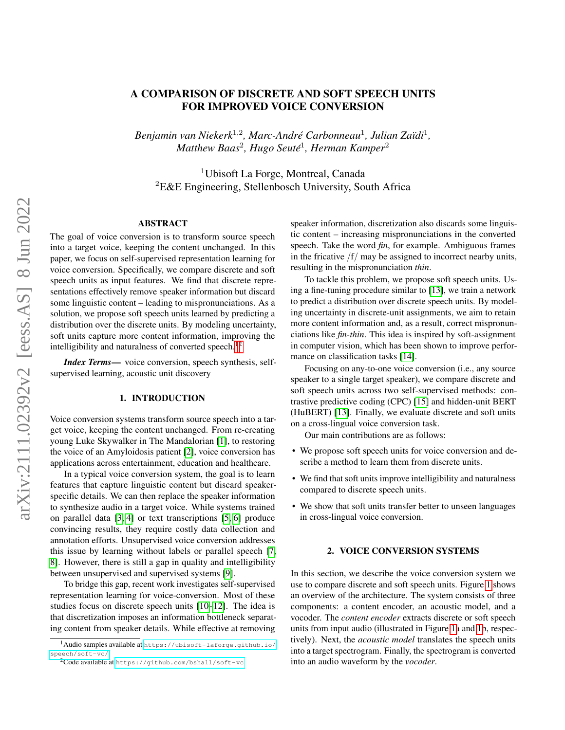# A COMPARISON OF DISCRETE AND SOFT SPEECH UNITS FOR IMPROVED VOICE CONVERSION

*Benjamin van Niekerk*<sup>1</sup>,<sup>2</sup> *, Marc-Andre Carbonneau ´* 1 *, Julian Za¨ıdi*<sup>1</sup> *, Matthew Baas*<sup>2</sup> *, Hugo Seute´* 1 *, Herman Kamper*<sup>2</sup>

<sup>1</sup>Ubisoft La Forge, Montreal, Canada  ${}^{2}$ E&E Engineering, Stellenbosch University, South Africa

# ABSTRACT

The goal of voice conversion is to transform source speech into a target voice, keeping the content unchanged. In this paper, we focus on self-supervised representation learning for voice conversion. Specifically, we compare discrete and soft speech units as input features. We find that discrete representations effectively remove speaker information but discard some linguistic content – leading to mispronunciations. As a solution, we propose soft speech units learned by predicting a distribution over the discrete units. By modeling uncertainty, soft units capture more content information, improving the intelligibility and naturalness of converted speech.<sup>[1](#page-0-0)[2](#page-0-1)</sup>

*Index Terms*— voice conversion, speech synthesis, selfsupervised learning, acoustic unit discovery

# 1. INTRODUCTION

Voice conversion systems transform source speech into a target voice, keeping the content unchanged. From re-creating young Luke Skywalker in The Mandalorian [\[1\]](#page-4-0), to restoring the voice of an Amyloidosis patient [\[2\]](#page-4-1), voice conversion has applications across entertainment, education and healthcare.

In a typical voice conversion system, the goal is to learn features that capture linguistic content but discard speakerspecific details. We can then replace the speaker information to synthesize audio in a target voice. While systems trained on parallel data [\[3,](#page-4-2) [4\]](#page-4-3) or text transcriptions [\[5,](#page-4-4) [6\]](#page-4-5) produce convincing results, they require costly data collection and annotation efforts. Unsupervised voice conversion addresses this issue by learning without labels or parallel speech [\[7,](#page-4-6) [8\]](#page-4-7). However, there is still a gap in quality and intelligibility between unsupervised and supervised systems [\[9\]](#page-4-8).

To bridge this gap, recent work investigates self-supervised representation learning for voice-conversion. Most of these studies focus on discrete speech units [\[10](#page-4-9)[–12\]](#page-4-10). The idea is that discretization imposes an information bottleneck separating content from speaker details. While effective at removing

speaker information, discretization also discards some linguistic content – increasing mispronunciations in the converted speech. Take the word *fin*, for example. Ambiguous frames in the fricative  $/f$  may be assigned to incorrect nearby units, resulting in the mispronunciation *thin*.

To tackle this problem, we propose soft speech units. Using a fine-tuning procedure similar to [\[13\]](#page-4-11), we train a network to predict a distribution over discrete speech units. By modeling uncertainty in discrete-unit assignments, we aim to retain more content information and, as a result, correct mispronunciations like *fin-thin*. This idea is inspired by soft-assignment in computer vision, which has been shown to improve performance on classification tasks [\[14\]](#page-4-12).

Focusing on any-to-one voice conversion (i.e., any source speaker to a single target speaker), we compare discrete and soft speech units across two self-supervised methods: contrastive predictive coding (CPC) [\[15\]](#page-4-13) and hidden-unit BERT (HuBERT) [\[13\]](#page-4-11). Finally, we evaluate discrete and soft units on a cross-lingual voice conversion task.

Our main contributions are as follows:

- We propose soft speech units for voice conversion and describe a method to learn them from discrete units.
- We find that soft units improve intelligibility and naturalness compared to discrete speech units.
- We show that soft units transfer better to unseen languages in cross-lingual voice conversion.

#### 2. VOICE CONVERSION SYSTEMS

<span id="page-0-2"></span>In this section, we describe the voice conversion system we use to compare discrete and soft speech units. Figure [1](#page-1-0) shows an overview of the architecture. The system consists of three components: a content encoder, an acoustic model, and a vocoder. The *content encoder* extracts discrete or soft speech units from input audio (illustrated in Figure [1a](#page-1-0) and [1b](#page-1-0), respectively). Next, the *acoustic model* translates the speech units into a target spectrogram. Finally, the spectrogram is converted into an audio waveform by the *vocoder*.

<span id="page-0-0"></span><sup>1</sup>Audio samples available at [https://ubisoft-laforge.github.io/](https://ubisoft-laforge.github.io/speech/soft-vc/) [speech/soft-vc/](https://ubisoft-laforge.github.io/speech/soft-vc/)

<span id="page-0-1"></span><sup>2</sup>Code available at <https://github.com/bshall/soft-vc>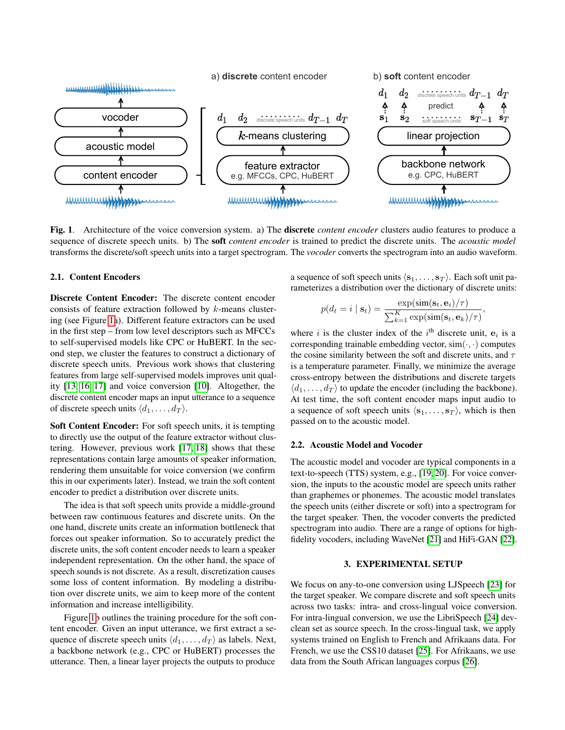

<span id="page-1-0"></span>Fig. 1. Architecture of the voice conversion system. a) The discrete *content encoder* clusters audio features to produce a sequence of discrete speech units. b) The soft *content encoder* is trained to predict the discrete units. The *acoustic model* transforms the discrete/soft speech units into a target spectrogram. The *vocoder* converts the spectrogram into an audio waveform.

#### 2.1. Content Encoders

Discrete Content Encoder: The discrete content encoder consists of feature extraction followed by k-means clustering (see Figure [1a](#page-1-0)). Different feature extractors can be used in the first step – from low level descriptors such as MFCCs to self-supervised models like CPC or HuBERT. In the second step, we cluster the features to construct a dictionary of discrete speech units. Previous work shows that clustering features from large self-supervised models improves unit quality [\[13,](#page-4-11) [16,](#page-4-14) [17\]](#page-4-15) and voice conversion [\[10\]](#page-4-9). Altogether, the discrete content encoder maps an input utterance to a sequence of discrete speech units  $\langle d_1, \ldots, d_T \rangle$ .

Soft Content Encoder: For soft speech units, it is tempting to directly use the output of the feature extractor without clustering. However, previous work [\[17,](#page-4-15) [18\]](#page-4-16) shows that these representations contain large amounts of speaker information, rendering them unsuitable for voice conversion (we confirm this in our experiments later). Instead, we train the soft content encoder to predict a distribution over discrete units.

The idea is that soft speech units provide a middle-ground between raw continuous features and discrete units. On the one hand, discrete units create an information bottleneck that forces out speaker information. So to accurately predict the discrete units, the soft content encoder needs to learn a speaker independent representation. On the other hand, the space of speech sounds is not discrete. As a result, discretization causes some loss of content information. By modeling a distribution over discrete units, we aim to keep more of the content information and increase intelligibility.

Figure [1b](#page-1-0) outlines the training procedure for the soft content encoder. Given an input utterance, we first extract a sequence of discrete speech units  $\langle d_1, \ldots, d_T \rangle$  as labels. Next, a backbone network (e.g., CPC or HuBERT) processes the utterance. Then, a linear layer projects the outputs to produce

a sequence of soft speech units  $\langle s_1, \ldots, s_T \rangle$ . Each soft unit parameterizes a distribution over the dictionary of discrete units:

$$
p(d_t = i | \mathbf{s}_t) = \frac{\exp(\text{sim}(\mathbf{s}_t, \mathbf{e}_i)/\tau)}{\sum_{k=1}^K \exp(\text{sim}(\mathbf{s}_t, \mathbf{e}_k)/\tau)},
$$

where i is the cluster index of the  $i<sup>th</sup>$  discrete unit,  $e_i$  is a corresponding trainable embedding vector,  $sim(\cdot, \cdot)$  computes the cosine similarity between the soft and discrete units, and  $\tau$ is a temperature parameter. Finally, we minimize the average cross-entropy between the distributions and discrete targets  $\langle d_1, \ldots, d_T \rangle$  to update the encoder (including the backbone). At test time, the soft content encoder maps input audio to a sequence of soft speech units  $\langle s_1, \ldots, s_T \rangle$ , which is then passed on to the acoustic model.

### 2.2. Acoustic Model and Vocoder

The acoustic model and vocoder are typical components in a text-to-speech (TTS) system, e.g., [\[19,](#page-4-17) [20\]](#page-4-18). For voice conversion, the inputs to the acoustic model are speech units rather than graphemes or phonemes. The acoustic model translates the speech units (either discrete or soft) into a spectrogram for the target speaker. Then, the vocoder converts the predicted spectrogram into audio. There are a range of options for highfidelity vocoders, including WaveNet [\[21\]](#page-4-19) and HiFi-GAN [\[22\]](#page-4-20).

## 3. EXPERIMENTAL SETUP

We focus on any-to-one conversion using LJSpeech [\[23\]](#page-4-21) for the target speaker. We compare discrete and soft speech units across two tasks: intra- and cross-lingual voice conversion. For intra-lingual conversion, we use the LibriSpeech [\[24\]](#page-4-22) devclean set as source speech. In the cross-lingual task, we apply systems trained on English to French and Afrikaans data. For French, we use the CSS10 dataset [\[25\]](#page-4-23). For Afrikaans, we use data from the South African languages corpus [\[26\]](#page-4-24).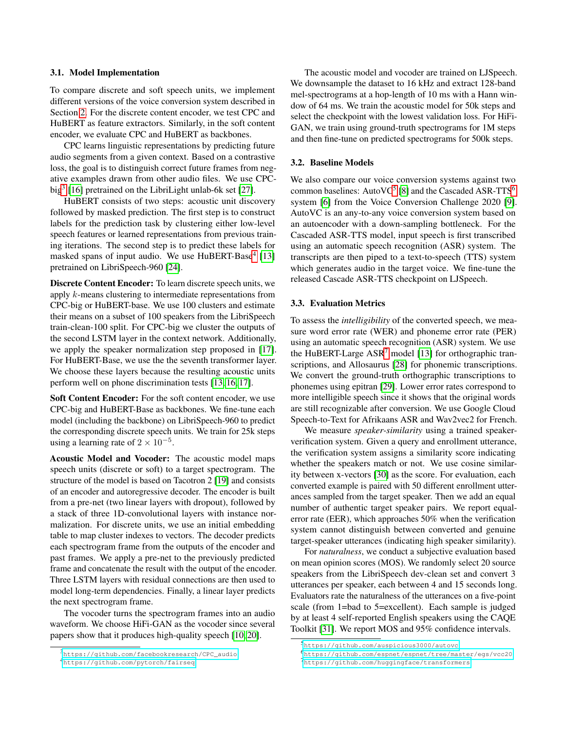#### 3.1. Model Implementation

To compare discrete and soft speech units, we implement different versions of the voice conversion system described in Section [2.](#page-0-2) For the discrete content encoder, we test CPC and HuBERT as feature extractors. Similarly, in the soft content encoder, we evaluate CPC and HuBERT as backbones.

CPC learns linguistic representations by predicting future audio segments from a given context. Based on a contrastive loss, the goal is to distinguish correct future frames from negative examples drawn from other audio files. We use CPC-big<sup>[3](#page-2-0)</sup> [\[16\]](#page-4-14) pretrained on the LibriLight unlab-6k set [\[27\]](#page-4-25).

HuBERT consists of two steps: acoustic unit discovery followed by masked prediction. The first step is to construct labels for the prediction task by clustering either low-level speech features or learned representations from previous training iterations. The second step is to predict these labels for masked spans of input audio. We use HuBERT-Base<sup>[4](#page-2-1)</sup> [\[13\]](#page-4-11) pretrained on LibriSpeech-960 [\[24\]](#page-4-22).

Discrete Content Encoder: To learn discrete speech units, we apply k-means clustering to intermediate representations from CPC-big or HuBERT-base. We use 100 clusters and estimate their means on a subset of 100 speakers from the LibriSpeech train-clean-100 split. For CPC-big we cluster the outputs of the second LSTM layer in the context network. Additionally, we apply the speaker normalization step proposed in [\[17\]](#page-4-15). For HuBERT-Base, we use the the seventh transformer layer. We choose these layers because the resulting acoustic units perform well on phone discrimination tests [\[13,](#page-4-11) [16,](#page-4-14) [17\]](#page-4-15).

Soft Content Encoder: For the soft content encoder, we use CPC-big and HuBERT-Base as backbones. We fine-tune each model (including the backbone) on LibriSpeech-960 to predict the corresponding discrete speech units. We train for 25k steps using a learning rate of  $2 \times 10^{-5}$ .

Acoustic Model and Vocoder: The acoustic model maps speech units (discrete or soft) to a target spectrogram. The structure of the model is based on Tacotron 2 [\[19\]](#page-4-17) and consists of an encoder and autoregressive decoder. The encoder is built from a pre-net (two linear layers with dropout), followed by a stack of three 1D-convolutional layers with instance normalization. For discrete units, we use an initial embedding table to map cluster indexes to vectors. The decoder predicts each spectrogram frame from the outputs of the encoder and past frames. We apply a pre-net to the previously predicted frame and concatenate the result with the output of the encoder. Three LSTM layers with residual connections are then used to model long-term dependencies. Finally, a linear layer predicts the next spectrogram frame.

The vocoder turns the spectrogram frames into an audio waveform. We choose HiFi-GAN as the vocoder since several papers show that it produces high-quality speech [\[10,](#page-4-9) [20\]](#page-4-18).

The acoustic model and vocoder are trained on LJSpeech. We downsample the dataset to 16 kHz and extract 128-band mel-spectrograms at a hop-length of 10 ms with a Hann window of 64 ms. We train the acoustic model for 50k steps and select the checkpoint with the lowest validation loss. For HiFi-GAN, we train using ground-truth spectrograms for 1M steps and then fine-tune on predicted spectrograms for 500k steps.

# 3.2. Baseline Models

We also compare our voice conversion systems against two common baselines: Auto $VC^5$  $VC^5$  [\[8\]](#page-4-7) and the Cascaded ASR-TTS<sup>[6](#page-2-3)</sup> system [\[6\]](#page-4-5) from the Voice Conversion Challenge 2020 [\[9\]](#page-4-8). AutoVC is an any-to-any voice conversion system based on an autoencoder with a down-sampling bottleneck. For the Cascaded ASR-TTS model, input speech is first transcribed using an automatic speech recognition (ASR) system. The transcripts are then piped to a text-to-speech (TTS) system which generates audio in the target voice. We fine-tune the released Cascade ASR-TTS checkpoint on LJSpeech.

## 3.3. Evaluation Metrics

To assess the *intelligibility* of the converted speech, we measure word error rate (WER) and phoneme error rate (PER) using an automatic speech recognition (ASR) system. We use the HuBERT-Large  $ASR<sup>7</sup>$  $ASR<sup>7</sup>$  $ASR<sup>7</sup>$  model [\[13\]](#page-4-11) for orthographic transcriptions, and Allosaurus [\[28\]](#page-4-26) for phonemic transcriptions. We convert the ground-truth orthographic transcriptions to phonemes using epitran [\[29\]](#page-4-27). Lower error rates correspond to more intelligible speech since it shows that the original words are still recognizable after conversion. We use Google Cloud Speech-to-Text for Afrikaans ASR and Wav2vec2 for French.

We measure *speaker-similarity* using a trained speakerverification system. Given a query and enrollment utterance, the verification system assigns a similarity score indicating whether the speakers match or not. We use cosine similarity between x-vectors [\[30\]](#page-4-28) as the score. For evaluation, each converted example is paired with 50 different enrollment utterances sampled from the target speaker. Then we add an equal number of authentic target speaker pairs. We report equalerror rate (EER), which approaches 50% when the verification system cannot distinguish between converted and genuine target-speaker utterances (indicating high speaker similarity).

For *naturalness*, we conduct a subjective evaluation based on mean opinion scores (MOS). We randomly select 20 source speakers from the LibriSpeech dev-clean set and convert 3 utterances per speaker, each between 4 and 15 seconds long. Evaluators rate the naturalness of the utterances on a five-point scale (from 1=bad to 5=excellent). Each sample is judged by at least 4 self-reported English speakers using the CAQE Toolkit [\[31\]](#page-4-29). We report MOS and 95% confidence intervals.

<span id="page-2-0"></span><sup>3</sup>[https://github.com/facebookresearch/CPC\\_audio](https://github.com/facebookresearch/CPC_audio)

<span id="page-2-1"></span><sup>4</sup><https://github.com/pytorch/fairseq>

<span id="page-2-2"></span><sup>5</sup><https://github.com/auspicious3000/autovc>

<span id="page-2-3"></span><sup>6</sup><https://github.com/espnet/espnet/tree/master/egs/vcc20>

<span id="page-2-4"></span><sup>7</sup><https://github.com/huggingface/transformers>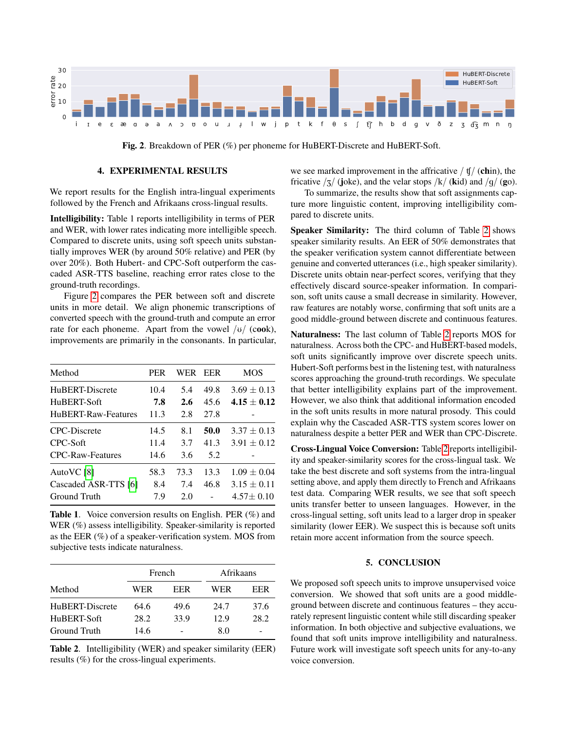

<span id="page-3-0"></span>Fig. 2. Breakdown of PER (%) per phoneme for HuBERT-Discrete and HuBERT-Soft.

## 4. EXPERIMENTAL RESULTS

We report results for the English intra-lingual experiments followed by the French and Afrikaans cross-lingual results.

Intelligibility: Table 1 reports intelligibility in terms of PER and WER, with lower rates indicating more intelligible speech. Compared to discrete units, using soft speech units substantially improves WER (by around 50% relative) and PER (by over 20%). Both Hubert- and CPC-Soft outperform the cascaded ASR-TTS baseline, reaching error rates close to the ground-truth recordings.

Figure [2](#page-3-0) compares the PER between soft and discrete units in more detail. We align phonemic transcriptions of converted speech with the ground-truth and compute an error rate for each phoneme. Apart from the vowel  $/\upsilon/$  (cook), improvements are primarily in the consonants. In particular,

| Method                  | <b>PER</b> | WER  | <b>EER</b> | <b>MOS</b>      |
|-------------------------|------------|------|------------|-----------------|
| HuBERT-Discrete         | 10.4       | 5.4  | 49.8       | $3.69 \pm 0.13$ |
| HuBERT-Soft             | 7.8        | 2.6  | 45.6       | $4.15 \pm 0.12$ |
| HuBERT-Raw-Features     | 11.3       | 2.8  | 27.8       |                 |
| <b>CPC-Discrete</b>     | 14.5       | 8.1  | 50.0       | $3.37 \pm 0.13$ |
| CPC-Soft                | 11.4       | 3.7  | 41.3       | $3.91 \pm 0.12$ |
| <b>CPC-Raw-Features</b> | 14.6       | 3.6  | 5.2        |                 |
| AutoVC [8]              | 58.3       | 73.3 | 13.3       | $1.09 \pm 0.04$ |
| Cascaded ASR-TTS [6]    | 8.4        | 7.4  | 46.8       | $3.15 \pm 0.11$ |
| Ground Truth            | 7.9        | 2.0  |            | $4.57 \pm 0.10$ |

Table 1. Voice conversion results on English. PER (%) and WER (%) assess intelligibility. Speaker-similarity is reported as the EER (%) of a speaker-verification system. MOS from subjective tests indicate naturalness.

|                 | French |      |      | Afrikaans |  |
|-----------------|--------|------|------|-----------|--|
| Method          | WER    | EER  | WER  | EER       |  |
| HuBERT-Discrete | 64.6   | 49.6 | 24.7 | 37.6      |  |
| HuBERT-Soft     | 28.2   | 33.9 | 12.9 | 28.2      |  |
| Ground Truth    | 14.6   |      | 8.0  |           |  |

<span id="page-3-1"></span>Table 2. Intelligibility (WER) and speaker similarity (EER) results (%) for the cross-lingual experiments.

we see marked improvement in the affricative  $/ \frac{f}{f}$  (chin), the fricative  $\frac{1}{3}$  (joke), and the velar stops  $\frac{1}{k}$  (kid) and  $\frac{1}{q}$  (go).

To summarize, the results show that soft assignments capture more linguistic content, improving intelligibility compared to discrete units.

Speaker Similarity: The third column of Table [2](#page-3-1) shows speaker similarity results. An EER of 50% demonstrates that the speaker verification system cannot differentiate between genuine and converted utterances (i.e., high speaker similarity). Discrete units obtain near-perfect scores, verifying that they effectively discard source-speaker information. In comparison, soft units cause a small decrease in similarity. However, raw features are notably worse, confirming that soft units are a good middle-ground between discrete and continuous features.

Naturalness: The last column of Table [2](#page-3-1) reports MOS for naturalness. Across both the CPC- and HuBERT-based models, soft units significantly improve over discrete speech units. Hubert-Soft performs best in the listening test, with naturalness scores approaching the ground-truth recordings. We speculate that better intelligibility explains part of the improvement. However, we also think that additional information encoded in the soft units results in more natural prosody. This could explain why the Cascaded ASR-TTS system scores lower on naturalness despite a better PER and WER than CPC-Discrete.

Cross-Lingual Voice Conversion: Table [2](#page-3-1) reports intelligibility and speaker-similarity scores for the cross-lingual task. We take the best discrete and soft systems from the intra-lingual setting above, and apply them directly to French and Afrikaans test data. Comparing WER results, we see that soft speech units transfer better to unseen languages. However, in the cross-lingual setting, soft units lead to a larger drop in speaker similarity (lower EER). We suspect this is because soft units retain more accent information from the source speech.

# 5. CONCLUSION

We proposed soft speech units to improve unsupervised voice conversion. We showed that soft units are a good middleground between discrete and continuous features – they accurately represent linguistic content while still discarding speaker information. In both objective and subjective evaluations, we found that soft units improve intelligibility and naturalness. Future work will investigate soft speech units for any-to-any voice conversion.